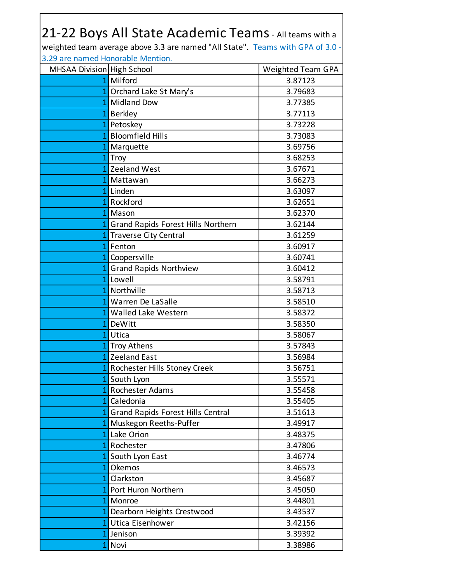| 21-22 Boys All State Academic Teams - All teams with a<br>weighted team average above 3.3 are named "All State". Teams with GPA of 3.0 - |                                      |                          |  |
|------------------------------------------------------------------------------------------------------------------------------------------|--------------------------------------|--------------------------|--|
| 3.29 are named Honorable Mention.                                                                                                        |                                      |                          |  |
| MHSAA Division High School                                                                                                               |                                      | <b>Weighted Team GPA</b> |  |
|                                                                                                                                          | 1 Milford                            | 3.87123                  |  |
|                                                                                                                                          | 1 Orchard Lake St Mary's             | 3.79683                  |  |
|                                                                                                                                          | 1 Midland Dow                        | 3.77385                  |  |
|                                                                                                                                          | 1 Berkley                            | 3.77113                  |  |
|                                                                                                                                          | 1 Petoskey                           | 3.73228                  |  |
|                                                                                                                                          | 1 Bloomfield Hills                   | 3.73083                  |  |
|                                                                                                                                          | 1 Marquette                          | 3.69756                  |  |
|                                                                                                                                          | 1 Troy                               | 3.68253                  |  |
|                                                                                                                                          | 1 Zeeland West                       | 3.67671                  |  |
|                                                                                                                                          | 1 Mattawan                           | 3.66273                  |  |
|                                                                                                                                          | 1 Linden                             | 3.63097                  |  |
|                                                                                                                                          | 1 Rockford                           | 3.62651                  |  |
|                                                                                                                                          | 1 Mason                              | 3.62370                  |  |
|                                                                                                                                          | 1 Grand Rapids Forest Hills Northern | 3.62144                  |  |
|                                                                                                                                          | 1 Traverse City Central              | 3.61259                  |  |
|                                                                                                                                          | 1 Fenton                             | 3.60917                  |  |
|                                                                                                                                          | 1 Coopersville                       | 3.60741                  |  |
|                                                                                                                                          | 1 Grand Rapids Northview             | 3.60412                  |  |
|                                                                                                                                          | 1 Lowell                             | 3.58791                  |  |
|                                                                                                                                          | 1 Northville                         | 3.58713                  |  |
|                                                                                                                                          | 1 Warren De LaSalle                  | 3.58510                  |  |
|                                                                                                                                          | 1 Walled Lake Western                | 3.58372                  |  |
|                                                                                                                                          | 1 DeWitt                             | 3.58350                  |  |
|                                                                                                                                          | 1 Utica                              | 3.58067                  |  |
|                                                                                                                                          | 1 Troy Athens                        | 3.57843                  |  |
|                                                                                                                                          | 1 Zeeland East                       | 3.56984                  |  |
|                                                                                                                                          | 1 Rochester Hills Stoney Creek       | 3.56751                  |  |
|                                                                                                                                          | 1 South Lyon                         | 3.55571                  |  |
|                                                                                                                                          | 1 Rochester Adams                    | 3.55458                  |  |
|                                                                                                                                          | 1 Caledonia                          | 3.55405                  |  |
|                                                                                                                                          | 1 Grand Rapids Forest Hills Central  | 3.51613                  |  |
|                                                                                                                                          | 1 Muskegon Reeths-Puffer             | 3.49917                  |  |
|                                                                                                                                          | 1 Lake Orion                         | 3.48375                  |  |
|                                                                                                                                          | 1 Rochester                          | 3.47806                  |  |
|                                                                                                                                          | 1 South Lyon East                    | 3.46774                  |  |
|                                                                                                                                          | 1 Okemos                             | 3.46573                  |  |
|                                                                                                                                          | 1 Clarkston                          | 3.45687                  |  |
|                                                                                                                                          | 1 Port Huron Northern                | 3.45050                  |  |
|                                                                                                                                          | 1 Monroe                             | 3.44801                  |  |
|                                                                                                                                          | 1 Dearborn Heights Crestwood         | 3.43537                  |  |
|                                                                                                                                          | 1 Utica Eisenhower                   | 3.42156                  |  |
|                                                                                                                                          | 1 Jenison                            | 3.39392                  |  |
|                                                                                                                                          | 1 Novi                               | 3.38986                  |  |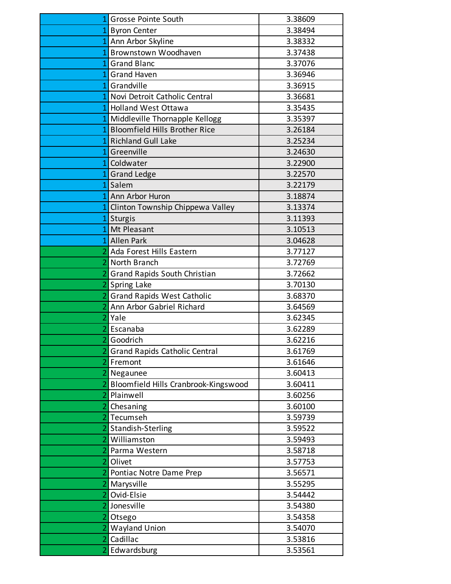| 11             | <b>Grosse Pointe South</b>                | 3.38609            |
|----------------|-------------------------------------------|--------------------|
|                | 1 Byron Center                            | 3.38494            |
|                | 1 Ann Arbor Skyline                       | 3.38332            |
|                | 1 Brownstown Woodhaven                    | 3.37438            |
|                | 1 Grand Blanc                             | 3.37076            |
|                | 1 Grand Haven                             | 3.36946            |
|                | 1 Grandville                              | 3.36915            |
|                | 1 Novi Detroit Catholic Central           | 3.36681            |
|                | 1 Holland West Ottawa                     | 3.35435            |
|                | 1 Middleville Thornapple Kellogg          | 3.35397            |
| 11             | <b>Bloomfield Hills Brother Rice</b>      | 3.26184            |
|                | 1 Richland Gull Lake                      | 3.25234            |
|                | 1 Greenville                              | 3.24630            |
|                | 1 Coldwater                               | 3.22900            |
|                | 1 Grand Ledge                             | 3.22570            |
|                | 1 Salem                                   | 3.22179            |
|                | 1 Ann Arbor Huron                         | 3.18874            |
|                | 1 Clinton Township Chippewa Valley        | 3.13374            |
|                | 1 Sturgis                                 | 3.11393            |
|                | 1 Mt Pleasant                             | 3.10513            |
|                | 1 Allen Park                              | 3.04628            |
|                | 2 Ada Forest Hills Eastern                | 3.77127            |
|                | 2 North Branch                            | 3.72769            |
|                | Grand Rapids South Christian              | 3.72662            |
|                | 2 Spring Lake                             | 3.70130            |
|                | 2 Grand Rapids West Catholic              | 3.68370            |
|                | 2 Ann Arbor Gabriel Richard               | 3.64569            |
| $\overline{2}$ | Yale                                      | 3.62345            |
|                | 2 Escanaba                                | 3.62289            |
| $\overline{2}$ | Goodrich                                  | 3.62216            |
|                | <b>Grand Rapids Catholic Central</b>      | 3.61769            |
|                | 2 Fremont                                 | 3.61646            |
|                | 2 Negaunee                                | 3.60413            |
|                | Bloomfield Hills Cranbrook-Kingswood      | 3.60411            |
|                | 2 Plainwell                               | 3.60256            |
|                | Chesaning                                 | 3.60100            |
|                | Tecumseh                                  | 3.59739            |
|                | Standish-Sterling                         | 3.59522            |
|                | 2 Williamston                             | 3.59493            |
|                | 2 Parma Western                           | 3.58718            |
|                | Olivet                                    | 3.57753            |
|                | 2 Pontiac Notre Dame Prep<br>2 Marysville | 3.56571<br>3.55295 |
| $\overline{2}$ | Ovid-Elsie                                | 3.54442            |
|                | 2 Jonesville                              | 3.54380            |
|                | Otsego                                    | 3.54358            |
|                | 2 Wayland Union                           | 3.54070            |
| $\overline{2}$ | Cadillac                                  | 3.53816            |
|                | Edwardsburg                               | 3.53561            |
|                |                                           |                    |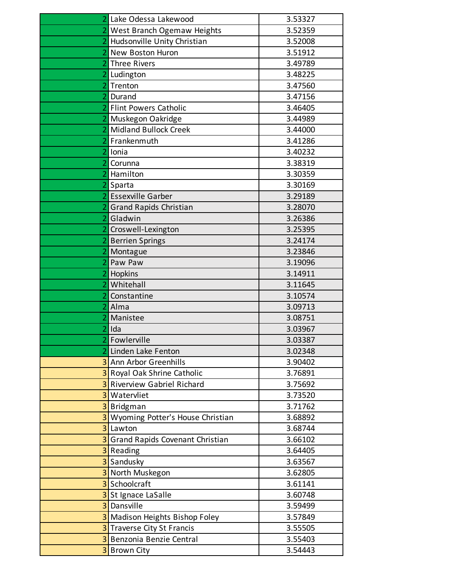|                | Lake Odessa Lakewood               | 3.53327 |
|----------------|------------------------------------|---------|
|                | 2 West Branch Ogemaw Heights       | 3.52359 |
|                | Hudsonville Unity Christian        | 3.52008 |
|                | New Boston Huron                   | 3.51912 |
|                | <b>Three Rivers</b>                | 3.49789 |
|                | 2 Ludington                        | 3.48225 |
|                | Trenton                            | 3.47560 |
|                | Durand                             | 3.47156 |
|                | <b>Flint Powers Catholic</b>       | 3.46405 |
|                | 2 Muskegon Oakridge                | 3.44989 |
|                | <b>Midland Bullock Creek</b>       | 3.44000 |
|                | Frankenmuth                        | 3.41286 |
|                | Ionia                              | 3.40232 |
|                | Corunna                            | 3.38319 |
|                | Hamilton                           | 3.30359 |
|                | Sparta                             | 3.30169 |
|                | <b>Essexville Garber</b>           | 3.29189 |
|                | <b>Grand Rapids Christian</b>      | 3.28070 |
|                | Gladwin                            | 3.26386 |
|                | Croswell-Lexington                 | 3.25395 |
|                | <b>Berrien Springs</b>             | 3.24174 |
|                | Montague                           | 3.23846 |
|                | Paw Paw                            | 3.19096 |
|                | Hopkins                            | 3.14911 |
|                | Whitehall                          | 3.11645 |
|                | Constantine                        | 3.10574 |
|                | Alma                               | 3.09713 |
|                | Manistee                           | 3.08751 |
|                | Ida                                | 3.03967 |
| $\overline{2}$ | Fowlerville                        | 3.03387 |
|                | 2 Linden Lake Fenton               | 3.02348 |
|                | <b>3</b> Ann Arbor Greenhills      | 3.90402 |
|                | <b>3</b> Royal Oak Shrine Catholic | 3.76891 |
|                | 3 Riverview Gabriel Richard        | 3.75692 |
|                | 3 Watervliet                       | 3.73520 |
|                | 3 Bridgman                         | 3.71762 |
|                | 3 Wyoming Potter's House Christian | 3.68892 |
|                | 3 Lawton                           | 3.68744 |
|                | 3 Grand Rapids Covenant Christian  | 3.66102 |
|                | 3 Reading                          | 3.64405 |
|                | 3 Sandusky                         | 3.63567 |
|                | 3 North Muskegon                   | 3.62805 |
|                | 3 Schoolcraft                      | 3.61141 |
|                | 3 St Ignace LaSalle                | 3.60748 |
|                | 3 Dansville                        | 3.59499 |
|                | 3 Madison Heights Bishop Foley     | 3.57849 |
|                | <b>3</b> Traverse City St Francis  | 3.55505 |
|                | 3 Benzonia Benzie Central          | 3.55403 |
|                | <b>3</b> Brown City                | 3.54443 |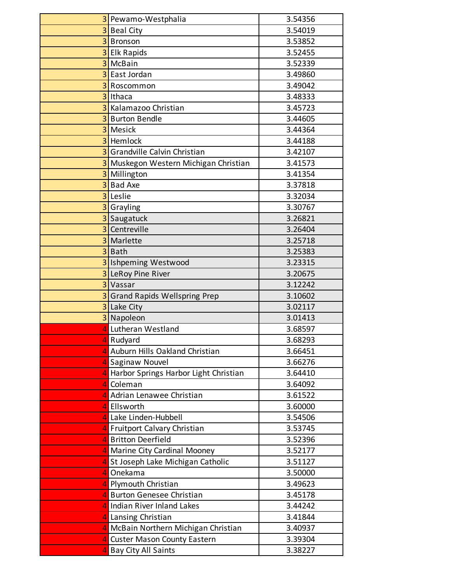|                | 3 Pewamo-Westphalia                     | 3.54356 |
|----------------|-----------------------------------------|---------|
|                | <b>3</b> Beal City                      | 3.54019 |
| 3 <sup>1</sup> | <b>Bronson</b>                          | 3.53852 |
|                | 3 Elk Rapids                            | 3.52455 |
|                | 3 McBain                                | 3.52339 |
|                | 3 East Jordan                           | 3.49860 |
| 3 <sup>1</sup> | Roscommon                               | 3.49042 |
| 3 <sup>1</sup> | Ithaca                                  | 3.48333 |
| 3 <sup>1</sup> | Kalamazoo Christian                     | 3.45723 |
|                | <b>3</b> Burton Bendle                  | 3.44605 |
| 3 <sup>1</sup> | <b>Mesick</b>                           | 3.44364 |
|                | 3 Hemlock                               | 3.44188 |
| 3 <sup>1</sup> | Grandville Calvin Christian             | 3.42107 |
|                | 3 Muskegon Western Michigan Christian   | 3.41573 |
|                | 3 Millington                            | 3.41354 |
|                | 3 Bad Axe                               | 3.37818 |
|                | 3 Leslie                                | 3.32034 |
|                | 3 Grayling                              | 3.30767 |
|                | 3 Saugatuck                             | 3.26821 |
|                | 3 Centreville                           | 3.26404 |
|                | 3 Marlette                              | 3.25718 |
|                | 3Bath                                   | 3.25383 |
|                | 3 Ishpeming Westwood                    | 3.23315 |
|                | 3 LeRoy Pine River                      | 3.20675 |
| 3 <sup>1</sup> | Vassar                                  | 3.12242 |
|                | <b>3</b> Grand Rapids Wellspring Prep   | 3.10602 |
| 3 <sup>1</sup> | Lake City                               | 3.02117 |
|                | 3 Napoleon                              | 3.01413 |
|                | 4 Lutheran Westland                     | 3.68597 |
|                | 4 Rudyard                               | 3.68293 |
|                | 4 Auburn Hills Oakland Christian        | 3.66451 |
|                | 4 Saginaw Nouvel                        | 3.66276 |
|                | 4 Harbor Springs Harbor Light Christian | 3.64410 |
|                | 4 Coleman                               | 3.64092 |
|                | 4 Adrian Lenawee Christian              | 3.61522 |
|                | 4 Ellsworth                             | 3.60000 |
|                | 4 Lake Linden-Hubbell                   | 3.54506 |
|                | 4 Fruitport Calvary Christian           | 3.53745 |
|                | 4 Britton Deerfield                     | 3.52396 |
|                | 4 Marine City Cardinal Mooney           | 3.52177 |
|                | 4 St Joseph Lake Michigan Catholic      | 3.51127 |
|                | 4 Onekama                               | 3.50000 |
|                | 4 Plymouth Christian                    | 3.49623 |
|                | 4 Burton Genesee Christian              | 3.45178 |
|                | 4 Indian River Inland Lakes             | 3.44242 |
|                | 4 Lansing Christian                     | 3.41844 |
|                | 4 McBain Northern Michigan Christian    | 3.40937 |
|                | 4 Custer Mason County Eastern           | 3.39304 |
|                | 4 Bay City All Saints                   | 3.38227 |